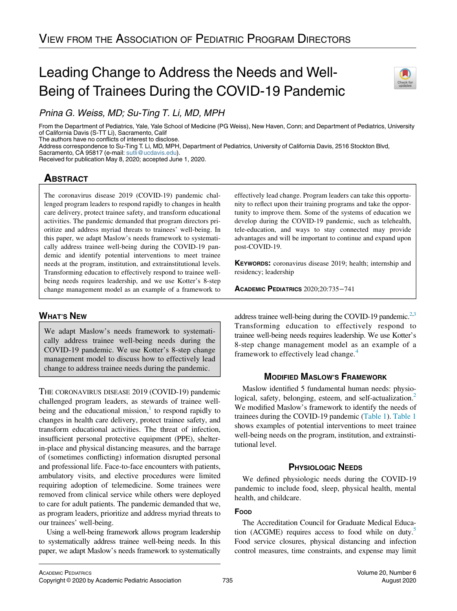# Leading Change to Address the Needs and Well-Being of Trainees During the COVID-19 Pandemic



Pnina G. Weiss, MD; Su-Ting T. Li, MD, MPH

From the Department of Pediatrics, Yale, Yale School of Medicine (PG Weiss), New Haven, Conn; and Department of Pediatrics, University of California Davis (S-TT Li), Sacramento, Calif

The authors have no conflicts of interest to disclose.

Address correspondence to Su-Ting T. Li, MD, MPH, Department of Pediatrics, University of California Davis, 2516 Stockton Blvd,

Sacramento, CA 95817 (e-mail: [sutli@ucdavis.edu](mailto:sutli@ucdavis.edu)).

Received for publication May 8, 2020; accepted June 1, 2020.

## **ABSTRACT**

The coronavirus disease 2019 (COVID-19) pandemic challenged program leaders to respond rapidly to changes in health care delivery, protect trainee safety, and transform educational activities. The pandemic demanded that program directors prioritize and address myriad threats to trainees' well-being. In this paper, we adapt Maslow's needs framework to systematically address trainee well-being during the COVID-19 pandemic and identify potential interventions to meet trainee needs at the program, institution, and extrainstitutional levels. Transforming education to effectively respond to trainee wellbeing needs requires leadership, and we use Kotter's 8-step change management model as an example of a framework to

## WHAT'S NEW

We adapt Maslow's needs framework to systematically address trainee well-being needs during the COVID-19 pandemic. We use Kotter's 8-step change management model to discuss how to effectively lead change to address trainee needs during the pandemic.

THE CORONAVIRUS DISEASE 2019 (COVID-19) pandemic challenged program leaders, as stewards of trainee wellbeing and the educational mission, $\frac{1}{1}$  to respond rapidly to changes in health care delivery, protect trainee safety, and transform educational activities. The threat of infection, insufficient personal protective equipment (PPE), shelterin-place and physical distancing measures, and the barrage of (sometimes conflicting) information disrupted personal and professional life. Face-to-face encounters with patients, ambulatory visits, and elective procedures were limited requiring adoption of telemedicine. Some trainees were removed from clinical service while others were deployed to care for adult patients. The pandemic demanded that we, as program leaders, prioritize and address myriad threats to our trainees' well-being.

Using a well-being framework allows program leadership to systematically address trainee well-being needs. In this paper, we adapt Maslow's needs framework to systematically

effectively lead change. Program leaders can take this opportunity to reflect upon their training programs and take the opportunity to improve them. Some of the systems of education we develop during the COVID-19 pandemic, such as telehealth, tele-education, and ways to stay connected may provide advantages and will be important to continue and expand upon post-COVID-19.

KEYWORDS: coronavirus disease 2019; health; internship and residency; leadership

ACADEMIC PEDIATRICS 2020;20:735−741

address trainee well-being during the COVID-19 pandemic.<sup>2[,3](#page-6-2)</sup> Transforming education to effectively respond to trainee well-being needs requires leadership. We use Kotter's 8-step change management model as an example of a framework to effectively lead change.<sup>[4](#page-6-3)</sup>

## MODIFIED MASLOW'S FRAMEWORK

Maslow identified 5 fundamental human needs: physiological, safety, belonging, esteem, and self-actualization.<sup>2</sup> We modified Maslow's framework to identify the needs of trainees during the COVID-19 pandemic ([Table 1](#page-1-0)). [Table 1](#page-1-0) shows examples of potential interventions to meet trainee well-being needs on the program, institution, and extrainstitutional level.

## PHYSIOLOGIC NEEDS

We defined physiologic needs during the COVID-19 pandemic to include food, sleep, physical health, mental health, and childcare.

## FOOD

The Accreditation Council for Graduate Medical Education (ACGME) requires access to food while on duty.<sup>5</sup> Food service closures, physical distancing and infection control measures, time constraints, and expense may limit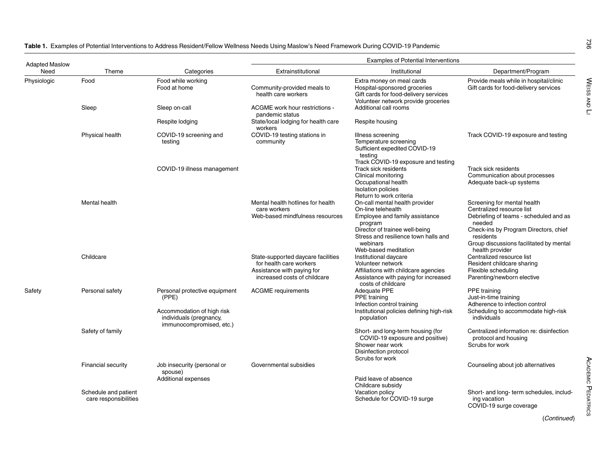| <b>Adapted Maslow</b> |                                               |                                                                                                                             |                                                                                                                             | <b>Examples of Potential Interventions</b>                                                                                                                                                                      |                                                                                                                                                                                                                                  |
|-----------------------|-----------------------------------------------|-----------------------------------------------------------------------------------------------------------------------------|-----------------------------------------------------------------------------------------------------------------------------|-----------------------------------------------------------------------------------------------------------------------------------------------------------------------------------------------------------------|----------------------------------------------------------------------------------------------------------------------------------------------------------------------------------------------------------------------------------|
| Need                  | Theme                                         | Categories                                                                                                                  | Extrainstitutional                                                                                                          | Institutional                                                                                                                                                                                                   | Department/Program                                                                                                                                                                                                               |
| Physiologic           | Food                                          | Food while working<br>Food at home                                                                                          | Community-provided meals to<br>health care workers                                                                          | Extra money on meal cards<br>Hospital-sponsored groceries<br>Gift cards for food-delivery services<br>Volunteer network provide groceries                                                                       | Provide meals while in hospital/clinic<br>Gift cards for food-delivery services                                                                                                                                                  |
|                       | Sleep                                         | Sleep on-call                                                                                                               | ACGME work hour restrictions -<br>pandemic status                                                                           | Additional call rooms                                                                                                                                                                                           |                                                                                                                                                                                                                                  |
|                       |                                               | Respite lodging                                                                                                             | State/local lodging for health care<br>workers                                                                              | Respite housing                                                                                                                                                                                                 |                                                                                                                                                                                                                                  |
|                       | <b>Physical health</b>                        | COVID-19 screening and<br>testing                                                                                           | COVID-19 testing stations in<br>community                                                                                   | Illness screening<br>Temperature screening<br>Sufficient expedited COVID-19<br>testing<br>Track COVID-19 exposure and testing                                                                                   | Track COVID-19 exposure and testing                                                                                                                                                                                              |
|                       |                                               | COVID-19 illness management                                                                                                 |                                                                                                                             | Track sick residents<br>Clinical monitoring<br>Occupational health<br><b>Isolation policies</b><br>Return to work criteria                                                                                      | Track sick residents<br>Communication about processes<br>Adequate back-up systems                                                                                                                                                |
|                       | Mental health                                 |                                                                                                                             | Mental health hotlines for health<br>care workers<br>Web-based mindfulness resources                                        | On-call mental health provider<br>On-line telehealth<br>Employee and family assistance<br>program<br>Director of trainee well-being<br>Stress and resilience town halls and<br>webinars<br>Web-based meditation | Screening for mental health<br>Centralized resource list<br>Debriefing of teams - scheduled and as<br>needed<br>Check-ins by Program Directors, chief<br>residents<br>Group discussions facilitated by mental<br>health provider |
|                       | Childcare                                     |                                                                                                                             | State-supported daycare facilities<br>for health care workers<br>Assistance with paying for<br>increased costs of childcare | Institutional daycare<br>Volunteer network<br>Affiliations with childcare agencies<br>Assistance with paying for increased<br>costs of childcare                                                                | Centralized resource list<br>Resident childcare sharing<br>Flexible scheduling<br>Parenting/newborn elective                                                                                                                     |
| Safety                | Personal safety                               | Personal protective equipment<br>(PPE)<br>Accommodation of high risk<br>individuals (pregnancy,<br>immunocompromised, etc.) | <b>ACGME</b> requirements                                                                                                   | <b>Adequate PPE</b><br>PPE training<br>Infection control training<br>Institutional policies defining high-risk<br>population                                                                                    | <b>PPE</b> training<br>Just-in-time training<br>Adherence to infection control<br>Scheduling to accommodate high-risk<br>individuals                                                                                             |
|                       | Safety of family                              |                                                                                                                             |                                                                                                                             | Short- and long-term housing (for<br>COVID-19 exposure and positive)<br>Shower near work<br>Disinfection protocol<br>Scrubs for work                                                                            | Centralized information re: disinfection<br>protocol and housing<br>Scrubs for work                                                                                                                                              |
|                       | <b>Financial security</b>                     | Job insecurity (personal or<br>spouse)<br>Additional expenses                                                               | Governmental subsidies                                                                                                      | Paid leave of absence                                                                                                                                                                                           | Counseling about job alternatives                                                                                                                                                                                                |
|                       | Schedule and patient<br>care responsibilities |                                                                                                                             |                                                                                                                             | Childcare subsidy<br>Vacation policy<br>Schedule for COVID-19 surge                                                                                                                                             | Short- and long- term schedules, includ-<br>ing vacation<br>COVID-19 surge coverage                                                                                                                                              |

<span id="page-1-0"></span>Table 1. Examples of Potential Interventions to Address Resident/Fellow Wellness Needs Using Maslow's Need Framework During COVID-19 Pandemic

736

WEISS AND LI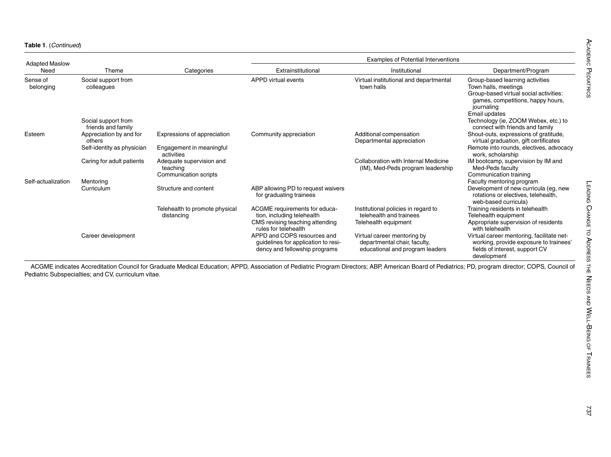Table 1. (Continued)

| <b>Adapted Maslow</b><br>Need | Theme                                     | Categories                                                    | <b>Examples of Potential Interventions</b>                                                          |                                                                                                |                                                                                                                                                                       |
|-------------------------------|-------------------------------------------|---------------------------------------------------------------|-----------------------------------------------------------------------------------------------------|------------------------------------------------------------------------------------------------|-----------------------------------------------------------------------------------------------------------------------------------------------------------------------|
|                               |                                           |                                                               | Extrainstitutional                                                                                  | Institutional                                                                                  | Department/Program                                                                                                                                                    |
| Sense of<br>belonging         | Social support from<br>colleagues         |                                                               | APPD virtual events                                                                                 | Virtual institutional and departmental<br>town halls                                           | Group-based learning activities<br>Town halls, meetings<br>Group-based virtual social activities:<br>games, competitions, happy hours,<br>journaling<br>Email updates |
|                               | Social support from<br>friends and family |                                                               |                                                                                                     |                                                                                                | Technology (ie, ZOOM Webex, etc.) to<br>connect with friends and family                                                                                               |
| Esteem                        | Appreciation by and for<br>others         | Expressions of appreciation                                   | Community appreciation                                                                              | Additional compensation<br>Departmental appreciation                                           | Shout-outs, expressions of gratitude,<br>virtual graduation, gift certificates                                                                                        |
|                               | Self-identity as physician                | Engagement in meaningful<br>activities                        |                                                                                                     |                                                                                                | Remote into rounds, electives, advocacy<br>work, scholarship                                                                                                          |
|                               | Caring for adult patients                 | Adequate supervision and<br>teaching<br>Communication scripts |                                                                                                     | Collaboration with Internal Medicine<br>(IM), Med-Peds program leadership                      | IM bootcamp, supervision by IM and<br>Med-Peds faculty<br>Communication training                                                                                      |
| Self-actualization            | Mentoring                                 |                                                               |                                                                                                     |                                                                                                | Faculty mentoring program                                                                                                                                             |
|                               | Curriculum                                | Structure and content                                         | ABP allowing PD to request waivers<br>for graduating trainees                                       |                                                                                                | Development of new curricula (eg, new<br>rotations or electives, telehealth,<br>web-based curricula)                                                                  |
|                               |                                           | Telehealth to promote physical<br>distancing                  | ACGME requirements for educa-<br>tion, including telehealth                                         | Institutional policies in regard to<br>telehealth and trainees                                 | Training residents in telehealth<br>Telehealth equipment                                                                                                              |
|                               |                                           |                                                               | CMS revising teaching attending<br>rules for telehealth                                             | Telehealth equipment                                                                           | Appropriate supervision of residents<br>with telehealth                                                                                                               |
|                               | Career development                        |                                                               | APPD and COPS resources and<br>guidelines for application to resi-<br>dency and fellowship programs | Virtual career mentoring by<br>departmental chair, faculty,<br>educational and program leaders | Virtual career mentoring, facilitate net-<br>working, provide exposure to trainees'<br>fields of interest, support CV<br>development                                  |

ACGME indicates Accreditation Council for Graduate Medical Education; APPD, Association of Pediatric Program Directors; ABP, American Board of Pediatrics; PD, program director; COPS, Council of Pediatric Subspecialties; and CV, curriculum vitae.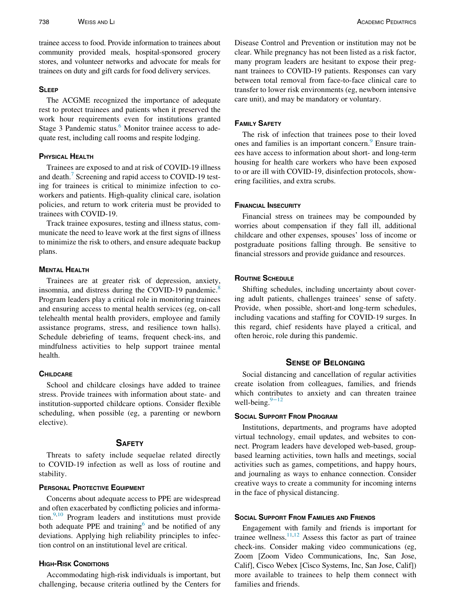trainee access to food. Provide information to trainees about community provided meals, hospital-sponsored grocery stores, and volunteer networks and advocate for meals for trainees on duty and gift cards for food delivery services.

#### **SLEEP**

The ACGME recognized the importance of adequate rest to protect trainees and patients when it preserved the work hour requirements even for institutions granted Stage 3 Pandemic status.<sup>[6](#page-6-5)</sup> Monitor trainee access to adequate rest, including call rooms and respite lodging.

## **PHYSICAL HEALTH**

Trainees are exposed to and at risk of COVID-19 illness and death.<sup>[7](#page-6-6)</sup> Screening and rapid access to COVID-19 testing for trainees is critical to minimize infection to coworkers and patients. High-quality clinical care, isolation policies, and return to work criteria must be provided to trainees with COVID-19.

Track trainee exposures, testing and illness status, communicate the need to leave work at the first signs of illness to minimize the risk to others, and ensure adequate backup plans.

## **MENTAL HEALTH**

Trainees are at greater risk of depression, anxiety, insomnia, and distress during the COVID-19 pandemic.<sup>[8](#page-6-7)</sup> Program leaders play a critical role in monitoring trainees and ensuring access to mental health services (eg, on-call telehealth mental health providers, employee and family assistance programs, stress, and resilience town halls). Schedule debriefing of teams, frequent check-ins, and mindfulness activities to help support trainee mental health.

#### **CHILDCARE**

School and childcare closings have added to trainee stress. Provide trainees with information about state- and institution-supported childcare options. Consider flexible scheduling, when possible (eg, a parenting or newborn elective).

#### **SAFETY**

Threats to safety include sequelae related directly to COVID-19 infection as well as loss of routine and stability.

#### PERSONAL PROTECTIVE EQUIPMENT

Concerns about adequate access to PPE are widespread and often exacerbated by conflicting policies and information. $9,10$  $9,10$  Program leaders and institutions must provide both adequate PPE and training $<sup>6</sup>$  $<sup>6</sup>$  $<sup>6</sup>$  and be notified of any</sup> deviations. Applying high reliability principles to infection control on an institutional level are critical.

## HIGH-RISK CONDITIONS

Accommodating high-risk individuals is important, but challenging, because criteria outlined by the Centers for Disease Control and Prevention or institution may not be clear. While pregnancy has not been listed as a risk factor, many program leaders are hesitant to expose their pregnant trainees to COVID-19 patients. Responses can vary between total removal from face-to-face clinical care to transfer to lower risk environments (eg, newborn intensive care unit), and may be mandatory or voluntary.

#### FAMILY SAFETY

The risk of infection that trainees pose to their loved ones and families is an important concern.<sup>[9](#page-6-8)</sup> Ensure trainees have access to information about short- and long-term housing for health care workers who have been exposed to or are ill with COVID-19, disinfection protocols, showering facilities, and extra scrubs.

#### FINANCIAL INSECURITY

Financial stress on trainees may be compounded by worries about compensation if they fall ill, additional childcare and other expenses, spouses' loss of income or postgraduate positions falling through. Be sensitive to financial stressors and provide guidance and resources.

#### **ROUTINE SCHEDULE**

Shifting schedules, including uncertainty about covering adult patients, challenges trainees' sense of safety. Provide, when possible, short-and long-term schedules, including vacations and staffing for COVID-19 surges. In this regard, chief residents have played a critical, and often heroic, role during this pandemic.

## SENSE OF BELONGING

Social distancing and cancellation of regular activities create isolation from colleagues, families, and friends which contributes to anxiety and can threaten trainee well-being. $9-12$  $9-12$ 

#### SOCIAL SUPPORT FROM PROGRAM

Institutions, departments, and programs have adopted virtual technology, email updates, and websites to connect. Program leaders have developed web-based, groupbased learning activities, town halls and meetings, social activities such as games, competitions, and happy hours, and journaling as ways to enhance connection. Consider creative ways to create a community for incoming interns in the face of physical distancing.

### SOCIAL SUPPORT FROM FAMILIES AND FRIENDS

Engagement with family and friends is important for trainee wellness. $11,12$  $11,12$  Assess this factor as part of trainee check-ins. Consider making video communications (eg, Zoom [Zoom Video Communications, Inc, San Jose, Calif], Cisco Webex [Cisco Systems, Inc, San Jose, Calif]) more available to trainees to help them connect with families and friends.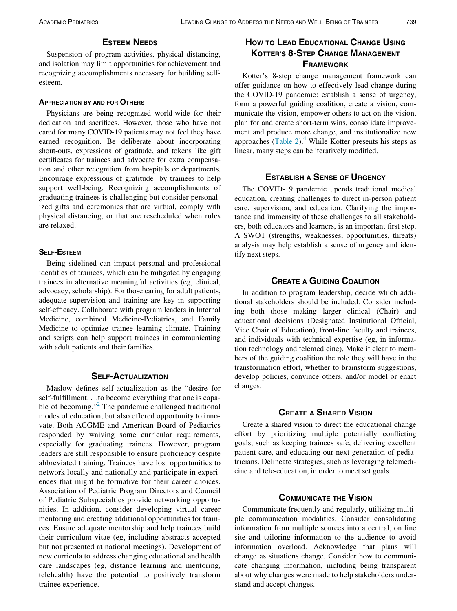## ESTEEM NEEDS

Suspension of program activities, physical distancing, and isolation may limit opportunities for achievement and recognizing accomplishments necessary for building selfesteem.

#### APPRECIATION BY AND FOR OTHERS

Physicians are being recognized world-wide for their dedication and sacrifices. However, those who have not cared for many COVID-19 patients may not feel they have earned recognition. Be deliberate about incorporating shout-outs, expressions of gratitude, and tokens like gift certificates for trainees and advocate for extra compensation and other recognition from hospitals or departments. Encourage expressions of gratitude by trainees to help support well-being. Recognizing accomplishments of graduating trainees is challenging but consider personalized gifts and ceremonies that are virtual, comply with physical distancing, or that are rescheduled when rules are relaxed.

## SELF-ESTEEM

Being sidelined can impact personal and professional identities of trainees, which can be mitigated by engaging trainees in alternative meaningful activities (eg, clinical, advocacy, scholarship). For those caring for adult patients, adequate supervision and training are key in supporting self-efficacy. Collaborate with program leaders in Internal Medicine, combined Medicine-Pediatrics, and Family Medicine to optimize trainee learning climate. Training and scripts can help support trainees in communicating with adult patients and their families.

## SELF-ACTUALIZATION

Maslow defines self-actualization as the "desire for self-fulfillment....to become everything that one is capa-ble of becoming."<sup>[2](#page-6-1)</sup> The pandemic challenged traditional modes of education, but also offered opportunity to innovate. Both ACGME and American Board of Pediatrics responded by waiving some curricular requirements, especially for graduating trainees. However, program leaders are still responsible to ensure proficiency despite abbreviated training. Trainees have lost opportunities to network locally and nationally and participate in experiences that might be formative for their career choices. Association of Pediatric Program Directors and Council of Pediatric Subspecialties provide networking opportunities. In addition, consider developing virtual career mentoring and creating additional opportunities for trainees. Ensure adequate mentorship and help trainees build their curriculum vitae (eg, including abstracts accepted but not presented at national meetings). Development of new curricula to address changing educational and health care landscapes (eg, distance learning and mentoring, telehealth) have the potential to positively transform trainee experience.

## HOW TO LEAD EDUCATIONAL CHANGE USING KOTTER'S 8-STEP CHANGE MANAGEMENT **FRAMEWORK**

Kotter's 8-step change management framework can offer guidance on how to effectively lead change during the COVID-19 pandemic: establish a sense of urgency, form a powerful guiding coalition, create a vision, communicate the vision, empower others to act on the vision, plan for and create short-term wins, consolidate improvement and produce more change, and institutionalize new approaches  $(Table 2)$  $(Table 2)$ .<sup>4</sup> While Kotter presents his steps as linear, many steps can be iteratively modified.

## ESTABLISH A SENSE OF URGENCY

The COVID-19 pandemic upends traditional medical education, creating challenges to direct in-person patient care, supervision, and education. Clarifying the importance and immensity of these challenges to all stakeholders, both educators and learners, is an important first step. A SWOT (strengths, weaknesses, opportunities, threats) analysis may help establish a sense of urgency and identify next steps.

#### CREATE A GUIDING COALITION

In addition to program leadership, decide which additional stakeholders should be included. Consider including both those making larger clinical (Chair) and educational decisions (Designated Institutional Official, Vice Chair of Education), front-line faculty and trainees, and individuals with technical expertise (eg, in information technology and telemedicine). Make it clear to members of the guiding coalition the role they will have in the transformation effort, whether to brainstorm suggestions, develop policies, convince others, and/or model or enact changes.

## CREATE A SHARED VISION

Create a shared vision to direct the educational change effort by prioritizing multiple potentially conflicting goals, such as keeping trainees safe, delivering excellent patient care, and educating our next generation of pediatricians. Delineate strategies, such as leveraging telemedicine and tele-education, in order to meet set goals.

## COMMUNICATE THE VISION

Communicate frequently and regularly, utilizing multiple communication modalities. Consider consolidating information from multiple sources into a central, on line site and tailoring information to the audience to avoid information overload. Acknowledge that plans will change as situations change. Consider how to communicate changing information, including being transparent about why changes were made to help stakeholders understand and accept changes.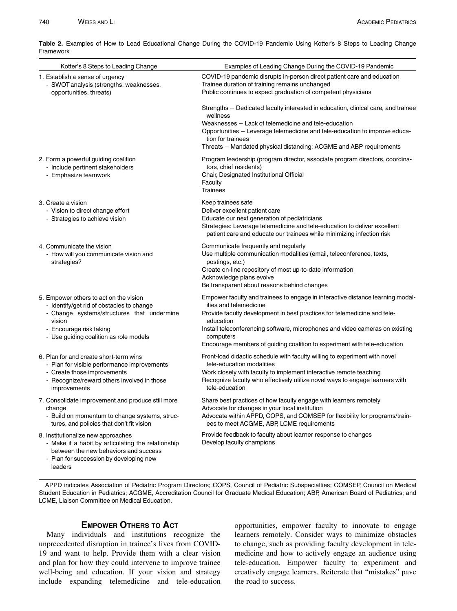| ι ιαιιισννυι η                                                                                                                                                                                                   |                                                                                                                                                                                                                                                                                                                                                                            |
|------------------------------------------------------------------------------------------------------------------------------------------------------------------------------------------------------------------|----------------------------------------------------------------------------------------------------------------------------------------------------------------------------------------------------------------------------------------------------------------------------------------------------------------------------------------------------------------------------|
| Kotter's 8 Steps to Leading Change                                                                                                                                                                               | Examples of Leading Change During the COVID-19 Pandemic                                                                                                                                                                                                                                                                                                                    |
| 1. Establish a sense of urgency<br>- SWOT analysis (strengths, weaknesses,<br>opportunities, threats)                                                                                                            | COVID-19 pandemic disrupts in-person direct patient care and education<br>Trainee duration of training remains unchanged<br>Public continues to expect graduation of competent physicians                                                                                                                                                                                  |
|                                                                                                                                                                                                                  | Strengths - Dedicated faculty interested in education, clinical care, and trainee<br>wellness<br>Weaknesses - Lack of telemedicine and tele-education<br>Opportunities - Leverage telemedicine and tele-education to improve educa-<br>tion for trainees<br>Threats – Mandated physical distancing; ACGME and ABP requirements                                             |
| 2. Form a powerful guiding coalition<br>- Include pertinent stakeholders<br>- Emphasize teamwork                                                                                                                 | Program leadership (program director, associate program directors, coordina-<br>tors, chief residents)<br>Chair, Designated Institutional Official<br>Faculty<br><b>Trainees</b>                                                                                                                                                                                           |
| 3. Create a vision<br>- Vision to direct change effort<br>- Strategies to achieve vision                                                                                                                         | Keep trainees safe<br>Deliver excellent patient care<br>Educate our next generation of pediatricians<br>Strategies: Leverage telemedicine and tele-education to deliver excellent<br>patient care and educate our trainees while minimizing infection risk                                                                                                                 |
| 4. Communicate the vision<br>- How will you communicate vision and<br>strategies?                                                                                                                                | Communicate frequently and regularly<br>Use multiple communication modalities (email, teleconference, texts,<br>postings, etc.)<br>Create on-line repository of most up-to-date information<br>Acknowledge plans evolve<br>Be transparent about reasons behind changes                                                                                                     |
| 5. Empower others to act on the vision<br>- Identify/get rid of obstacles to change<br>- Change systems/structures that undermine<br>vision<br>- Encourage risk taking<br>- Use guiding coalition as role models | Empower faculty and trainees to engage in interactive distance learning modal-<br>ities and telemedicine<br>Provide faculty development in best practices for telemedicine and tele-<br>education<br>Install teleconferencing software, microphones and video cameras on existing<br>computers<br>Encourage members of guiding coalition to experiment with tele-education |
| 6. Plan for and create short-term wins<br>- Plan for visible performance improvements<br>- Create those improvements<br>- Recognize/reward others involved in those<br>improvements                              | Front-load didactic schedule with faculty willing to experiment with novel<br>tele-education modalities<br>Work closely with faculty to implement interactive remote teaching<br>Recognize faculty who effectively utilize novel ways to engage learners with<br>tele-education                                                                                            |
| 7. Consolidate improvement and produce still more<br>change<br>- Build on momentum to change systems, struc-<br>tures, and policies that don't fit vision                                                        | Share best practices of how faculty engage with learners remotely<br>Advocate for changes in your local institution<br>Advocate within APPD, COPS, and COMSEP for flexibility for programs/train-<br>ees to meet ACGME, ABP, LCME requirements                                                                                                                             |
| 8. Institutionalize new approaches<br>- Make it a habit by articulating the relationship<br>between the new behaviors and success<br>- Plan for succession by developing new<br>leaders                          | Provide feedback to faculty about learner response to changes<br>Develop faculty champions                                                                                                                                                                                                                                                                                 |

<span id="page-5-0"></span>Table 2. Examples of How to Lead Educational Change During the COVID-19 Pandemic Using Kotter's 8 Steps to Leading Change Framework

APPD indicates Association of Pediatric Program Directors; COPS, Council of Pediatric Subspecialties; COMSEP, Council on Medical Student Education in Pediatrics; ACGME, Accreditation Council for Graduate Medical Education; ABP, American Board of Pediatrics; and LCME, Liaison Committee on Medical Education.

## EMPOWER OTHERS TO ACT

Many individuals and institutions recognize the unprecedented disruption in trainee's lives from COVID-19 and want to help. Provide them with a clear vision and plan for how they could intervene to improve trainee well-being and education. If your vision and strategy include expanding telemedicine and tele-education

opportunities, empower faculty to innovate to engage learners remotely. Consider ways to minimize obstacles to change, such as providing faculty development in telemedicine and how to actively engage an audience using tele-education. Empower faculty to experiment and creatively engage learners. Reiterate that "mistakes" pave the road to success.